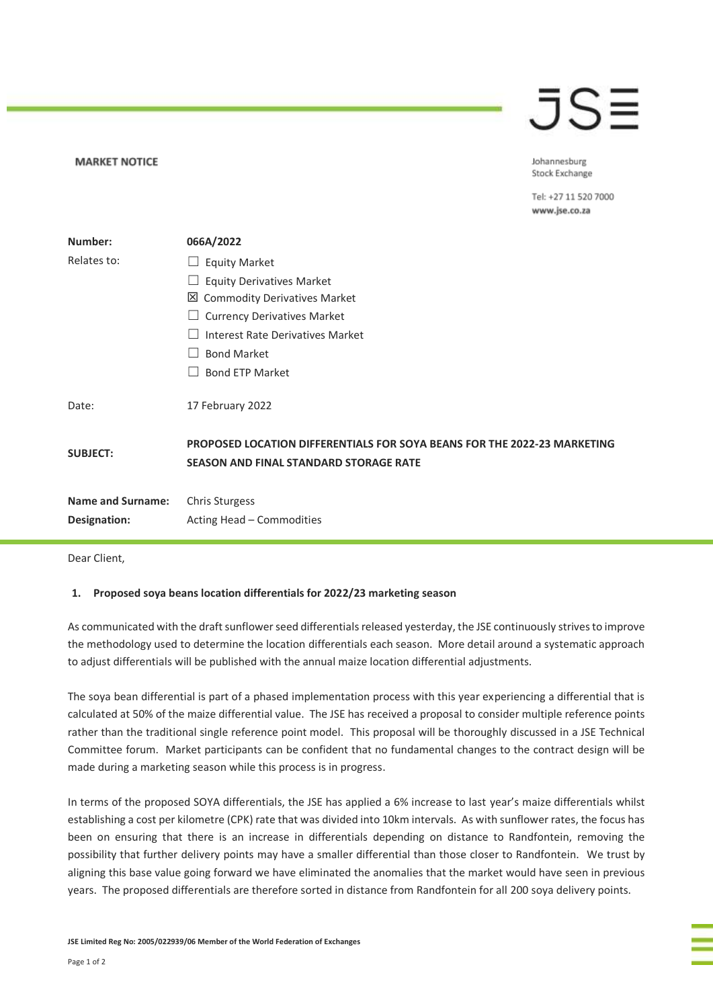## JS≣

Johannesburg Stock Exchange

Tel: +27 11 520 7000 www.jse.co.za

| Number:                  | 066A/2022                                                                                                                 |
|--------------------------|---------------------------------------------------------------------------------------------------------------------------|
| Relates to:              | <b>Equity Market</b>                                                                                                      |
|                          | <b>Equity Derivatives Market</b>                                                                                          |
|                          | ×<br><b>Commodity Derivatives Market</b>                                                                                  |
|                          | <b>Currency Derivatives Market</b>                                                                                        |
|                          | <b>Interest Rate Derivatives Market</b>                                                                                   |
|                          | <b>Bond Market</b>                                                                                                        |
|                          | <b>Bond ETP Market</b>                                                                                                    |
| Date:                    | 17 February 2022                                                                                                          |
| <b>SUBJECT:</b>          | PROPOSED LOCATION DIFFERENTIALS FOR SOYA BEANS FOR THE 2022-23 MARKETING<br><b>SEASON AND FINAL STANDARD STORAGE RATE</b> |
| <b>Name and Surname:</b> | <b>Chris Sturgess</b>                                                                                                     |
| Designation:             | Acting Head - Commodities                                                                                                 |

Dear Client,

**MARKET NOTICE** 

## **1. Proposed soya beans location differentials for 2022/23 marketing season**

As communicated with the draft sunflower seed differentials released yesterday, the JSE continuously strives to improve the methodology used to determine the location differentials each season. More detail around a systematic approach to adjust differentials will be published with the annual maize location differential adjustments.

The soya bean differential is part of a phased implementation process with this year experiencing a differential that is calculated at 50% of the maize differential value. The JSE has received a proposal to consider multiple reference points rather than the traditional single reference point model. This proposal will be thoroughly discussed in a JSE Technical Committee forum. Market participants can be confident that no fundamental changes to the contract design will be made during a marketing season while this process is in progress.

In terms of the proposed SOYA differentials, the JSE has applied a 6% increase to last year's maize differentials whilst establishing a cost per kilometre (CPK) rate that was divided into 10km intervals. As with sunflower rates, the focus has been on ensuring that there is an increase in differentials depending on distance to Randfontein, removing the possibility that further delivery points may have a smaller differential than those closer to Randfontein. We trust by aligning this base value going forward we have eliminated the anomalies that the market would have seen in previous years. The proposed differentials are therefore sorted in distance from Randfontein for all 200 soya delivery points.